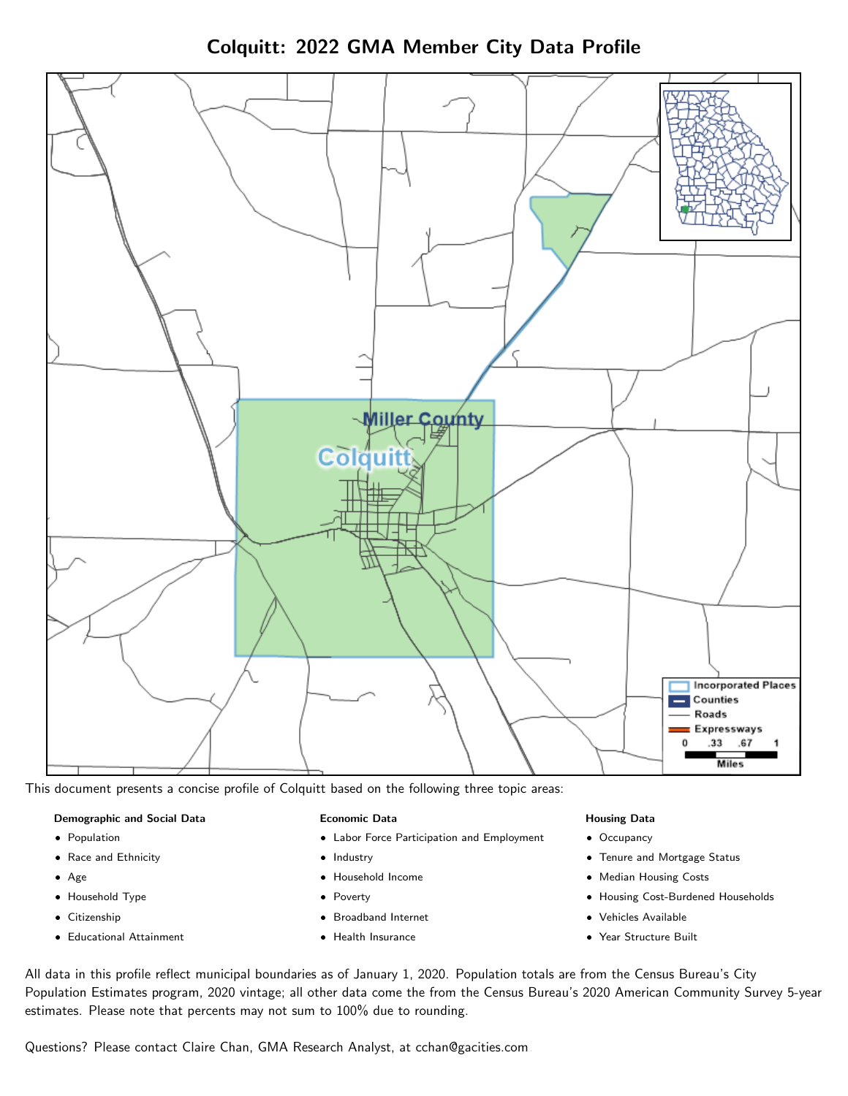Colquitt: 2022 GMA Member City Data Profile



This document presents a concise profile of Colquitt based on the following three topic areas:

#### Demographic and Social Data

- **•** Population
- Race and Ethnicity
- Age
- Household Type
- **Citizenship**
- Educational Attainment

#### Economic Data

- Labor Force Participation and Employment
- Industry
- Household Income
- Poverty
- Broadband Internet
- Health Insurance

#### Housing Data

- Occupancy
- Tenure and Mortgage Status
- Median Housing Costs
- Housing Cost-Burdened Households
- Vehicles Available
- Year Structure Built

All data in this profile reflect municipal boundaries as of January 1, 2020. Population totals are from the Census Bureau's City Population Estimates program, 2020 vintage; all other data come the from the Census Bureau's 2020 American Community Survey 5-year estimates. Please note that percents may not sum to 100% due to rounding.

Questions? Please contact Claire Chan, GMA Research Analyst, at [cchan@gacities.com.](mailto:cchan@gacities.com)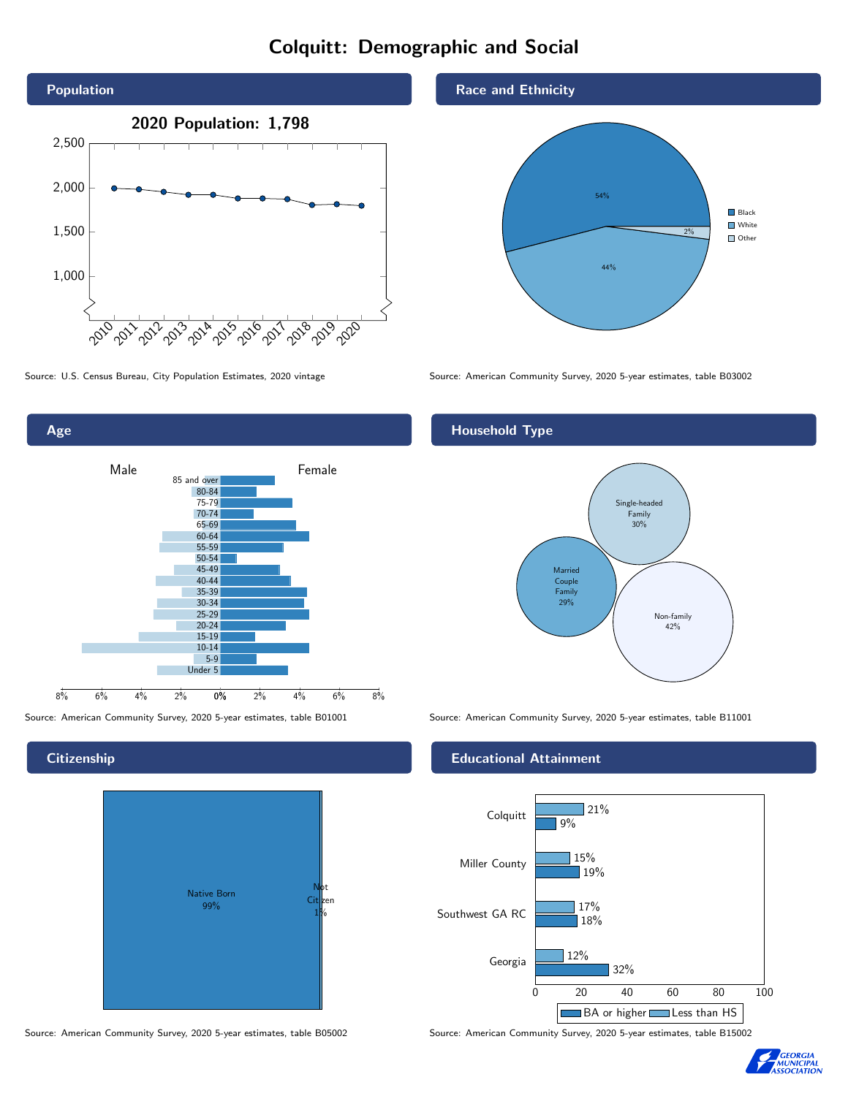# Colquitt: Demographic and Social





# **Citizenship**



Source: American Community Survey, 2020 5-year estimates, table B05002 Source: American Community Survey, 2020 5-year estimates, table B15002

### Race and Ethnicity



Source: U.S. Census Bureau, City Population Estimates, 2020 vintage Source: American Community Survey, 2020 5-year estimates, table B03002

# Household Type



Source: American Community Survey, 2020 5-year estimates, table B01001 Source: American Community Survey, 2020 5-year estimates, table B11001

### Educational Attainment



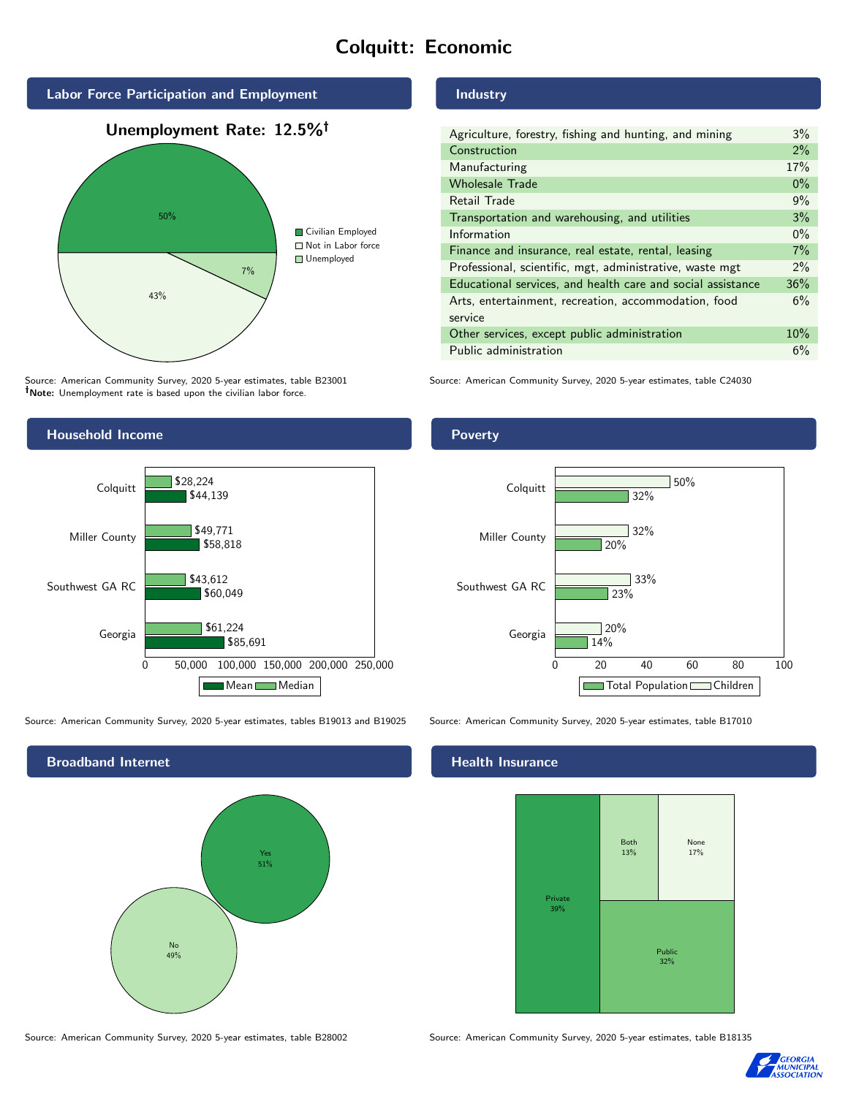# Colquitt: Economic



Source: American Community Survey, 2020 5-year estimates, table B23001 Note: Unemployment rate is based upon the civilian labor force.

### Industry

| Agriculture, forestry, fishing and hunting, and mining      | $3\%$ |
|-------------------------------------------------------------|-------|
| Construction                                                | 2%    |
| Manufacturing                                               | 17%   |
| <b>Wholesale Trade</b>                                      | $0\%$ |
| Retail Trade                                                | 9%    |
| Transportation and warehousing, and utilities               | 3%    |
| Information                                                 | $0\%$ |
| Finance and insurance, real estate, rental, leasing         | 7%    |
| Professional, scientific, mgt, administrative, waste mgt    | $2\%$ |
| Educational services, and health care and social assistance | 36%   |
| Arts, entertainment, recreation, accommodation, food        | 6%    |
| service                                                     |       |
| Other services, except public administration                | 10%   |
| Public administration                                       | 6%    |

Source: American Community Survey, 2020 5-year estimates, table C24030



Source: American Community Survey, 2020 5-year estimates, tables B19013 and B19025 Source: American Community Survey, 2020 5-year estimates, table B17010

Broadband Internet No 49% Yes 51%

#### Health Insurance





#### **Poverty**